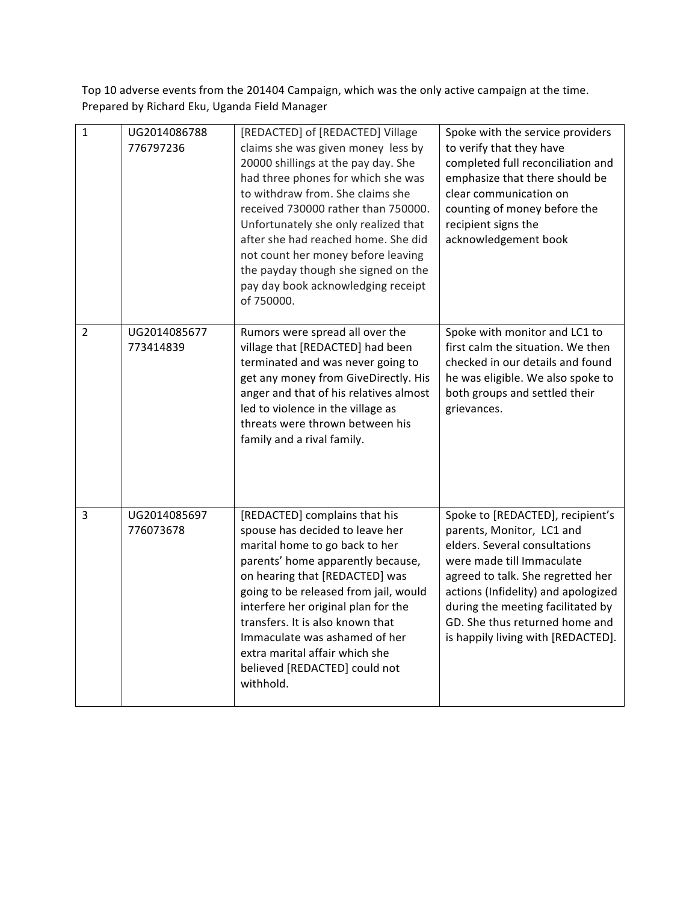Top 10 adverse events from the 201404 Campaign, which was the only active campaign at the time. Prepared by Richard Eku, Uganda Field Manager

| $\mathbf{1}$ | UG2014086788<br>776797236 | [REDACTED] of [REDACTED] Village<br>claims she was given money less by<br>20000 shillings at the pay day. She<br>had three phones for which she was<br>to withdraw from. She claims she<br>received 730000 rather than 750000.<br>Unfortunately she only realized that<br>after she had reached home. She did<br>not count her money before leaving<br>the payday though she signed on the<br>pay day book acknowledging receipt<br>of 750000. | Spoke with the service providers<br>to verify that they have<br>completed full reconciliation and<br>emphasize that there should be<br>clear communication on<br>counting of money before the<br>recipient signs the<br>acknowledgement book                                                                         |
|--------------|---------------------------|------------------------------------------------------------------------------------------------------------------------------------------------------------------------------------------------------------------------------------------------------------------------------------------------------------------------------------------------------------------------------------------------------------------------------------------------|----------------------------------------------------------------------------------------------------------------------------------------------------------------------------------------------------------------------------------------------------------------------------------------------------------------------|
| 2            | UG2014085677<br>773414839 | Rumors were spread all over the<br>village that [REDACTED] had been<br>terminated and was never going to<br>get any money from GiveDirectly. His<br>anger and that of his relatives almost<br>led to violence in the village as<br>threats were thrown between his<br>family and a rival family.                                                                                                                                               | Spoke with monitor and LC1 to<br>first calm the situation. We then<br>checked in our details and found<br>he was eligible. We also spoke to<br>both groups and settled their<br>grievances.                                                                                                                          |
| 3            | UG2014085697<br>776073678 | [REDACTED] complains that his<br>spouse has decided to leave her<br>marital home to go back to her<br>parents' home apparently because,<br>on hearing that [REDACTED] was<br>going to be released from jail, would<br>interfere her original plan for the<br>transfers. It is also known that<br>Immaculate was ashamed of her<br>extra marital affair which she<br>believed [REDACTED] could not<br>withhold.                                 | Spoke to [REDACTED], recipient's<br>parents, Monitor, LC1 and<br>elders. Several consultations<br>were made till Immaculate<br>agreed to talk. She regretted her<br>actions (Infidelity) and apologized<br>during the meeting facilitated by<br>GD. She thus returned home and<br>is happily living with [REDACTED]. |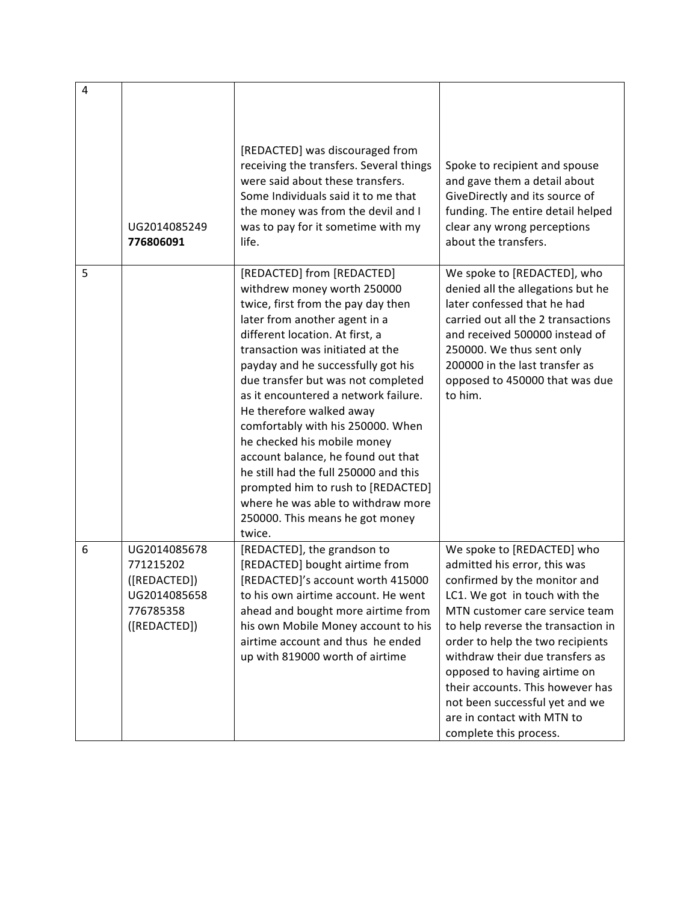| 4 | UG2014085249<br>776806091                                                              | [REDACTED] was discouraged from<br>receiving the transfers. Several things<br>were said about these transfers.<br>Some Individuals said it to me that<br>the money was from the devil and I<br>was to pay for it sometime with my<br>life.                                                                                                                                                                                                                                                                                                                                                                                          | Spoke to recipient and spouse<br>and gave them a detail about<br>GiveDirectly and its source of<br>funding. The entire detail helped<br>clear any wrong perceptions<br>about the transfers.                                                                                                                                                                                                                                              |
|---|----------------------------------------------------------------------------------------|-------------------------------------------------------------------------------------------------------------------------------------------------------------------------------------------------------------------------------------------------------------------------------------------------------------------------------------------------------------------------------------------------------------------------------------------------------------------------------------------------------------------------------------------------------------------------------------------------------------------------------------|------------------------------------------------------------------------------------------------------------------------------------------------------------------------------------------------------------------------------------------------------------------------------------------------------------------------------------------------------------------------------------------------------------------------------------------|
| 5 |                                                                                        | [REDACTED] from [REDACTED]<br>withdrew money worth 250000<br>twice, first from the pay day then<br>later from another agent in a<br>different location. At first, a<br>transaction was initiated at the<br>payday and he successfully got his<br>due transfer but was not completed<br>as it encountered a network failure.<br>He therefore walked away<br>comfortably with his 250000. When<br>he checked his mobile money<br>account balance, he found out that<br>he still had the full 250000 and this<br>prompted him to rush to [REDACTED]<br>where he was able to withdraw more<br>250000. This means he got money<br>twice. | We spoke to [REDACTED], who<br>denied all the allegations but he<br>later confessed that he had<br>carried out all the 2 transactions<br>and received 500000 instead of<br>250000. We thus sent only<br>200000 in the last transfer as<br>opposed to 450000 that was due<br>to him.                                                                                                                                                      |
| 6 | UG2014085678<br>771215202<br>([REDACTED])<br>UG2014085658<br>776785358<br>([REDACTED]) | [REDACTED], the grandson to<br>[REDACTED] bought airtime from<br>[REDACTED]'s account worth 415000<br>to his own airtime account. He went<br>ahead and bought more airtime from<br>his own Mobile Money account to his<br>airtime account and thus he ended<br>up with 819000 worth of airtime                                                                                                                                                                                                                                                                                                                                      | We spoke to [REDACTED] who<br>admitted his error, this was<br>confirmed by the monitor and<br>LC1. We got in touch with the<br>MTN customer care service team<br>to help reverse the transaction in<br>order to help the two recipients<br>withdraw their due transfers as<br>opposed to having airtime on<br>their accounts. This however has<br>not been successful yet and we<br>are in contact with MTN to<br>complete this process. |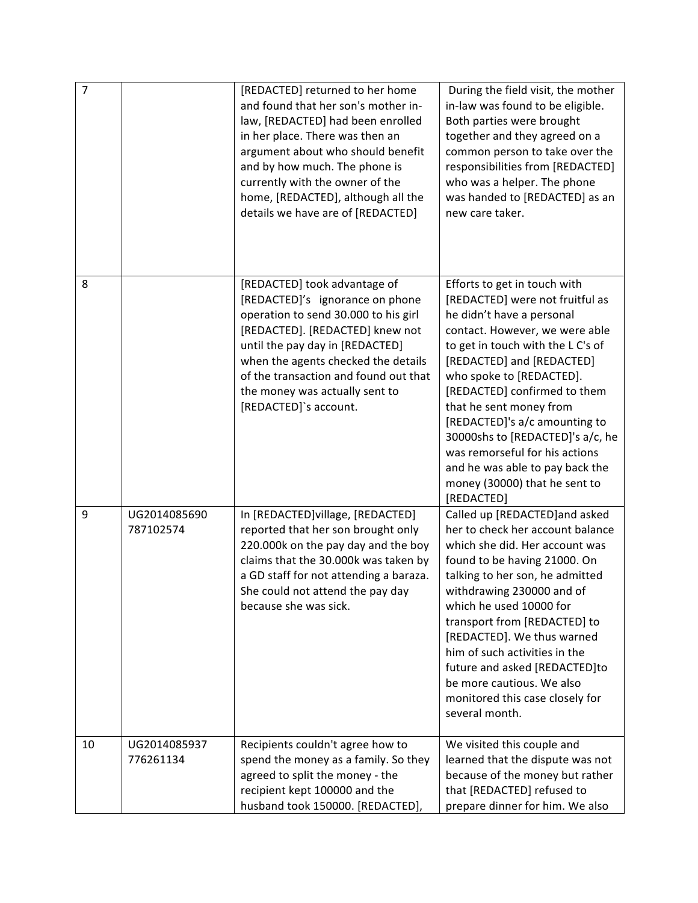| $\overline{7}$ |                           | [REDACTED] returned to her home<br>and found that her son's mother in-<br>law, [REDACTED] had been enrolled<br>in her place. There was then an<br>argument about who should benefit<br>and by how much. The phone is<br>currently with the owner of the<br>home, [REDACTED], although all the<br>details we have are of [REDACTED] | During the field visit, the mother<br>in-law was found to be eligible.<br>Both parties were brought<br>together and they agreed on a<br>common person to take over the<br>responsibilities from [REDACTED]<br>who was a helper. The phone<br>was handed to [REDACTED] as an<br>new care taker.                                                                                                                                                                                  |
|----------------|---------------------------|------------------------------------------------------------------------------------------------------------------------------------------------------------------------------------------------------------------------------------------------------------------------------------------------------------------------------------|---------------------------------------------------------------------------------------------------------------------------------------------------------------------------------------------------------------------------------------------------------------------------------------------------------------------------------------------------------------------------------------------------------------------------------------------------------------------------------|
| 8              |                           | [REDACTED] took advantage of<br>[REDACTED]'s ignorance on phone<br>operation to send 30.000 to his girl<br>[REDACTED]. [REDACTED] knew not<br>until the pay day in [REDACTED]<br>when the agents checked the details<br>of the transaction and found out that<br>the money was actually sent to<br>[REDACTED]'s account.           | Efforts to get in touch with<br>[REDACTED] were not fruitful as<br>he didn't have a personal<br>contact. However, we were able<br>to get in touch with the LC's of<br>[REDACTED] and [REDACTED]<br>who spoke to [REDACTED].<br>[REDACTED] confirmed to them<br>that he sent money from<br>[REDACTED]'s a/c amounting to<br>30000shs to [REDACTED]'s a/c, he<br>was remorseful for his actions<br>and he was able to pay back the<br>money (30000) that he sent to<br>[REDACTED] |
| 9              | UG2014085690<br>787102574 | In [REDACTED]village, [REDACTED]<br>reported that her son brought only<br>220.000k on the pay day and the boy<br>claims that the 30.000k was taken by<br>a GD staff for not attending a baraza.<br>She could not attend the pay day<br>because she was sick.                                                                       | Called up [REDACTED] and asked<br>her to check her account balance<br>which she did. Her account was<br>found to be having 21000. On<br>talking to her son, he admitted<br>withdrawing 230000 and of<br>which he used 10000 for<br>transport from [REDACTED] to<br>[REDACTED]. We thus warned<br>him of such activities in the<br>future and asked [REDACTED]to<br>be more cautious. We also<br>monitored this case closely for<br>several month.                               |
| 10             | UG2014085937<br>776261134 | Recipients couldn't agree how to<br>spend the money as a family. So they<br>agreed to split the money - the<br>recipient kept 100000 and the<br>husband took 150000. [REDACTED],                                                                                                                                                   | We visited this couple and<br>learned that the dispute was not<br>because of the money but rather<br>that [REDACTED] refused to<br>prepare dinner for him. We also                                                                                                                                                                                                                                                                                                              |